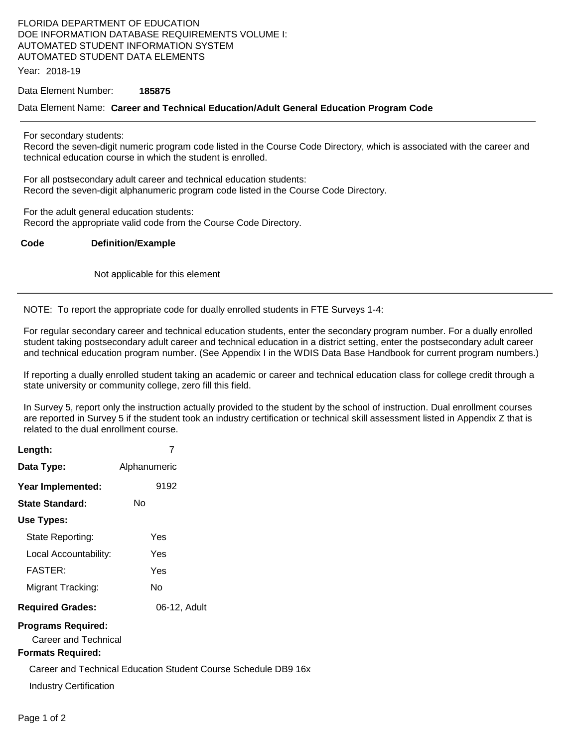# FLORIDA DEPARTMENT OF EDUCATION DOE INFORMATION DATABASE REQUIREMENTS VOLUME I: AUTOMATED STUDENT INFORMATION SYSTEM AUTOMATED STUDENT DATA ELEMENTS

Year: 2018-19

Data Element Number: **185875** 

#### Data Element Name: **Career and Technical Education/Adult General Education Program Code**

For secondary students:

Record the seven-digit numeric program code listed in the Course Code Directory, which is associated with the career and technical education course in which the student is enrolled.

For all postsecondary adult career and technical education students: Record the seven-digit alphanumeric program code listed in the Course Code Directory.

For the adult general education students: Record the appropriate valid code from the Course Code Directory.

## **Code Definition/Example**

Not applicable for this element

NOTE: To report the appropriate code for dually enrolled students in FTE Surveys 1-4:

For regular secondary career and technical education students, enter the secondary program number. For a dually enrolled student taking postsecondary adult career and technical education in a district setting, enter the postsecondary adult career and technical education program number. (See Appendix I in the WDIS Data Base Handbook for current program numbers.)

If reporting a dually enrolled student taking an academic or career and technical education class for college credit through a state university or community college, zero fill this field.

In Survey 5, report only the instruction actually provided to the student by the school of instruction. Dual enrollment courses are reported in Survey 5 if the student took an industry certification or technical skill assessment listed in Appendix Z that is related to the dual enrollment course.

| Length:                                                                       | 7                                                              |  |
|-------------------------------------------------------------------------------|----------------------------------------------------------------|--|
| Data Type:                                                                    | Alphanumeric                                                   |  |
| Year Implemented:                                                             | 9192                                                           |  |
| <b>State Standard:</b>                                                        | No                                                             |  |
| Use Types:                                                                    |                                                                |  |
| State Reporting:                                                              | Yes                                                            |  |
| Local Accountability:                                                         | Yes                                                            |  |
| FASTER:                                                                       | Yes                                                            |  |
| Migrant Tracking:                                                             | No.                                                            |  |
| <b>Required Grades:</b>                                                       | 06-12, Adult                                                   |  |
| <b>Programs Required:</b><br>Career and Technical<br><b>Formats Required:</b> |                                                                |  |
|                                                                               | Career and Technical Education Student Course Schedule DB9 16x |  |
|                                                                               |                                                                |  |
| Industry Certification                                                        |                                                                |  |